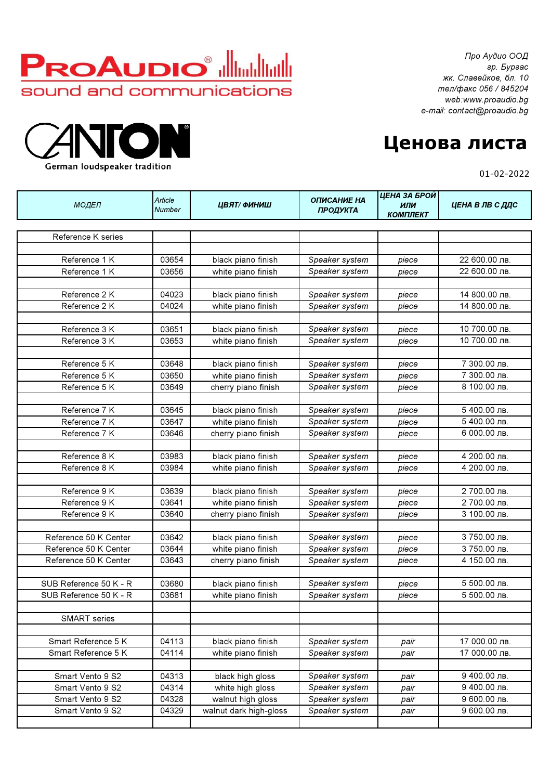

German loudspeaker tradition

Про Аудио ООД гр. Бургас жк. Славейков, бл. 10 тел/факс 056 / 845204 web:www.proaudio.bg e-mail: contact@proaudio.bg

## Ценова листа

01-02-2022

|                        |                          |                                          | ЦЕНА ЗА БРОЙ                     |                        |                           |  |
|------------------------|--------------------------|------------------------------------------|----------------------------------|------------------------|---------------------------|--|
| МОДЕЛ                  | Article<br><b>Number</b> | ЦВЯТ/ФИНИШ                               | <b>ОПИСАНИЕ НА</b><br>ПРОДУКТА   | ИЛИ<br><b>КОМПЛЕКТ</b> | ЦЕНА В ЛВ С ДДС           |  |
|                        |                          |                                          |                                  |                        |                           |  |
| Reference K series     |                          |                                          |                                  |                        |                           |  |
|                        |                          |                                          |                                  |                        |                           |  |
| Reference 1 K          | 03654                    | black piano finish                       | Speaker system                   | piece                  | 22 600.00 лв.             |  |
| Reference 1 K          | 03656                    | white piano finish                       | Speaker system                   | piece                  | 22 600.00 лв.             |  |
|                        |                          |                                          |                                  |                        |                           |  |
| Reference 2 K          | 04023                    | black piano finish                       | Speaker system                   | piece                  | 14 800.00 лв.             |  |
| Reference 2 K          | 04024                    | white piano finish                       | Speaker system                   | piece                  | 14 800.00 лв.             |  |
|                        |                          |                                          |                                  |                        |                           |  |
| Reference 3 K          | 03651                    | black piano finish                       | Speaker system                   | piece                  | 10 700.00 лв.             |  |
| Reference 3 K          | 03653                    | white piano finish                       | Speaker system                   | piece                  | 10 700.00 лв.             |  |
|                        |                          |                                          |                                  |                        |                           |  |
| Reference 5 K          | 03648                    | black piano finish                       | Speaker system                   | piece                  | 7 300.00 лв.              |  |
| Reference 5 K          | 03650                    | white piano finish                       | Speaker system                   | piece                  | 7 300.00 лв.              |  |
| Reference 5 K          | 03649                    | cherry piano finish                      | Speaker system                   | piece                  | 8 100.00 лв.              |  |
|                        |                          |                                          |                                  |                        |                           |  |
| Reference 7 K          | 03645                    | black piano finish                       | Speaker system                   | piece                  | 5 400.00 лв.              |  |
| Reference 7 K          | 03647                    | white piano finish                       | Speaker system                   | piece                  | 5 400.00 лв.              |  |
| Reference 7 K          | 03646                    | cherry piano finish                      | Speaker system                   | piece                  | 6 000.00 лв.              |  |
|                        |                          |                                          |                                  |                        |                           |  |
| Reference 8 K          | 03983                    | black piano finish                       | Speaker system                   | piece                  | 4 200.00 лв.              |  |
| Reference 8 K          | 03984                    | white piano finish                       | Speaker system                   | piece                  | $\overline{4}$ 200.00 лв. |  |
| Reference 9 K          | 03639                    |                                          |                                  |                        | 2 700.00 лв.              |  |
| Reference 9 K          | 03641                    | black piano finish<br>white piano finish | Speaker system                   | piece                  | 2 700.00 лв.              |  |
| Reference 9 K          | 03640                    | cherry piano finish                      | Speaker system<br>Speaker system | piece                  | 3 100.00 лв.              |  |
|                        |                          |                                          |                                  | piece                  |                           |  |
| Reference 50 K Center  | 03642                    | black piano finish                       | Speaker system                   | piece                  | 3 750.00 лв.              |  |
| Reference 50 K Center  | 03644                    | white piano finish                       | Speaker system                   | piece                  | 3 750.00 лв.              |  |
| Reference 50 K Center  | 03643                    | cherry piano finish                      | Speaker system                   | piece                  | 4 150.00 лв.              |  |
|                        |                          |                                          |                                  |                        |                           |  |
| SUB Reference 50 K - R | 03680                    | black piano finish                       | Speaker system                   | piece                  | 5 500.00 лв.              |  |
| SUB Reference 50 K - R | 03681                    | white piano finish                       | Speaker system                   | piece                  | 5 500.00 лв.              |  |
|                        |                          |                                          |                                  |                        |                           |  |
| <b>SMART</b> series    |                          |                                          |                                  |                        |                           |  |
|                        |                          |                                          |                                  |                        |                           |  |
| Smart Reference 5 K    | 04113                    | black piano finish                       | Speaker system                   | pair                   | 17 000.00 лв.             |  |
| Smart Reference 5 K    | 04114                    | white piano finish                       | Speaker system                   | pair                   | 17 000.00 лв.             |  |
|                        |                          |                                          |                                  |                        |                           |  |
| Smart Vento 9 S2       | 04313                    | black high gloss                         | Speaker system                   | pair                   | 9 400.00 лв.              |  |
| Smart Vento 9 S2       | 04314                    | white high gloss                         | Speaker system                   | pair                   | 9 400.00 лв.              |  |
| Smart Vento 9 S2       | 04328                    | walnut high gloss                        | Speaker system                   | pair                   | 9 600.00 лв.              |  |
| Smart Vento 9 S2       | 04329                    | walnut dark high-gloss                   | Speaker system                   | pair                   | 9 600.00 лв.              |  |
|                        |                          |                                          |                                  |                        |                           |  |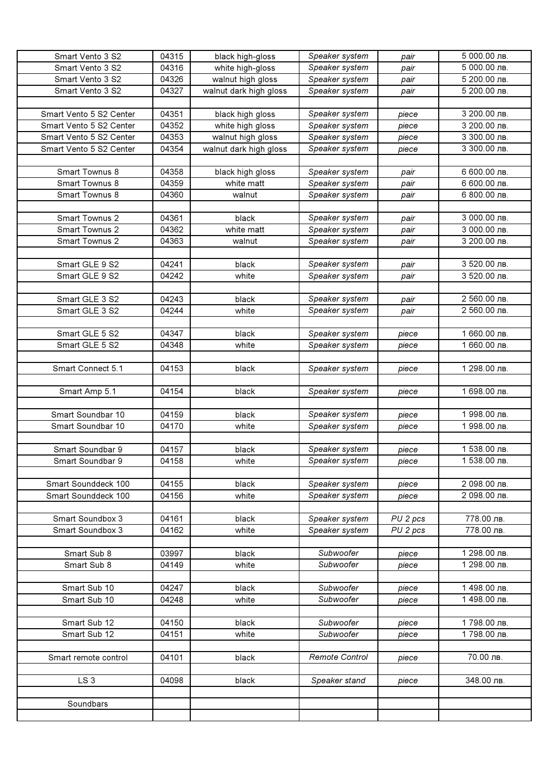| Smart Vento 3 S2        | 04315 | black high-gloss       | Speaker system | pair                | 5 000.00 лв. |
|-------------------------|-------|------------------------|----------------|---------------------|--------------|
| Smart Vento 3 S2        | 04316 | white high-gloss       | Speaker system | pair                | 5 000.00 лв. |
| Smart Vento 3 S2        | 04326 | walnut high gloss      | Speaker system | pair                | 5 200.00 лв. |
| Smart Vento 3 S2        | 04327 | walnut dark high gloss | Speaker system | pair                | 5 200.00 лв. |
|                         |       |                        |                |                     |              |
| Smart Vento 5 S2 Center | 04351 | black high gloss       | Speaker system | piece               | 3 200.00 лв. |
| Smart Vento 5 S2 Center | 04352 | white high gloss       | Speaker system | piece               | 3 200.00 лв. |
| Smart Vento 5 S2 Center | 04353 | walnut high gloss      | Speaker system | piece               | 3 300.00 лв. |
| Smart Vento 5 S2 Center | 04354 | walnut dark high gloss | Speaker system | piece               | 3 300.00 лв. |
|                         |       |                        |                |                     |              |
| Smart Townus 8          | 04358 | black high gloss       | Speaker system | pair                | 6 600.00 лв. |
| Smart Townus 8          | 04359 | white matt             | Speaker system |                     | 6 600.00 лв. |
|                         |       |                        |                | pair                |              |
| Smart Townus 8          | 04360 | walnut                 | Speaker system | pair                | 6 800.00 лв. |
|                         |       |                        |                |                     |              |
| Smart Townus 2          | 04361 | black                  | Speaker system | pair                | 3 000.00 лв. |
| Smart Townus 2          | 04362 | white matt             | Speaker system | pair                | 3 000.00 лв. |
| Smart Townus 2          | 04363 | walnut                 | Speaker system | pair                | 3 200.00 лв. |
|                         |       |                        |                |                     |              |
| Smart GLE 9 S2          | 04241 | black                  | Speaker system | pair                | 3 520.00 лв. |
| Smart GLE 9 S2          | 04242 | white                  | Speaker system | pair                | 3 520.00 лв. |
|                         |       |                        |                |                     |              |
| Smart GLE 3 S2          | 04243 | black                  | Speaker system | pair                | 2 560.00 лв. |
| Smart GLE 3 S2          | 04244 | white                  | Speaker system | pair                | 2 560.00 лв. |
|                         |       |                        |                |                     |              |
| Smart GLE 5 S2          | 04347 | black                  | Speaker system | piece               | 1 660.00 лв. |
| Smart GLE 5 S2          | 04348 | white                  | Speaker system | piece               | 1 660.00 лв. |
|                         |       |                        |                |                     |              |
| Smart Connect 5.1       | 04153 | black                  | Speaker system | piece               | 1 298.00 лв. |
|                         |       |                        |                |                     |              |
| Smart Amp 5.1           | 04154 | black                  | Speaker system | piece               | 1 698.00 лв. |
|                         |       |                        |                |                     |              |
| Smart Soundbar 10       | 04159 | black                  | Speaker system | piece               | 1 998.00 лв. |
| Smart Soundbar 10       | 04170 | white                  | Speaker system | piece               | 1 998.00 лв. |
|                         |       |                        |                |                     |              |
| Smart Soundbar 9        | 04157 | black                  | Speaker system | piece               | 1 538.00 лв. |
| Smart Soundbar 9        | 04158 | white                  | Speaker system | piece               | 1 538.00 лв. |
|                         |       |                        |                |                     |              |
| Smart Sounddeck 100     | 04155 | black                  | Speaker system | piece               | 2 098.00 лв. |
| Smart Sounddeck 100     | 04156 | white                  | Speaker system | piece               | 2 098.00 лв. |
|                         |       |                        |                |                     |              |
| Smart Soundbox 3        | 04161 | black                  | Speaker system | PU 2 pcs            | 778.00 лв.   |
| Smart Soundbox 3        | 04162 | white                  | Speaker system | PU <sub>2</sub> pcs | 778.00 лв.   |
|                         |       |                        |                |                     |              |
| Smart Sub 8             | 03997 | black                  | Subwoofer      | piece               | 1 298.00 лв. |
| Smart Sub 8             | 04149 | white                  | Subwoofer      | piece               | 1 298.00 лв. |
|                         |       |                        |                |                     |              |
| Smart Sub 10            | 04247 | black                  | Subwoofer      | piece               | 1 498.00 лв. |
| Smart Sub 10            | 04248 | white                  | Subwoofer      | piece               | 1 498.00 лв. |
|                         |       |                        |                |                     |              |
| Smart Sub 12            | 04150 | black                  | Subwoofer      | piece               | 1798.00 лв.  |
| Smart Sub 12            | 04151 | white                  | Subwoofer      | piece               | 1798.00 лв.  |
|                         |       |                        |                |                     |              |
| Smart remote control    | 04101 | black                  | Remote Control | piece               | 70.00 лв.    |
|                         |       |                        |                |                     |              |
| LS <sub>3</sub>         | 04098 | black                  | Speaker stand  | piece               | 348.00 лв.   |
|                         |       |                        |                |                     |              |
| Soundbars               |       |                        |                |                     |              |
|                         |       |                        |                |                     |              |
|                         |       |                        |                |                     |              |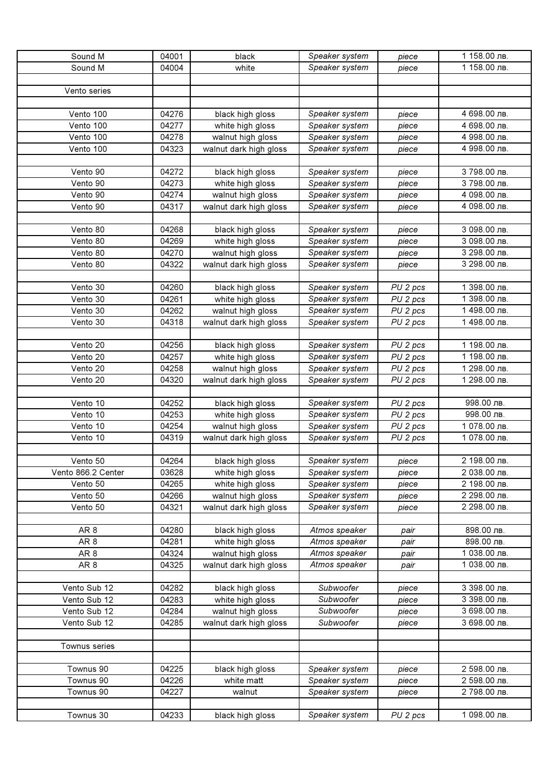| Sound M            | 04001 | black                  | Speaker system | piece    | 1 158.00 лв.              |
|--------------------|-------|------------------------|----------------|----------|---------------------------|
| Sound M            | 04004 | white                  | Speaker system | piece    | 1 158.00 лв.              |
|                    |       |                        |                |          |                           |
| Vento series       |       |                        |                |          |                           |
|                    |       |                        |                |          |                           |
| Vento 100          | 04276 | black high gloss       | Speaker system | piece    | 4 698.00 лв.              |
| Vento 100          | 04277 | white high gloss       | Speaker system | piece    | $\overline{4}$ 698.00 лв. |
| Vento 100          | 04278 | walnut high gloss      | Speaker system | piece    | 4 998.00 лв.              |
| Vento 100          | 04323 | walnut dark high gloss | Speaker system | piece    | 4 998.00 лв.              |
|                    |       |                        |                |          |                           |
| Vento 90           | 04272 | black high gloss       | Speaker system | piece    | 3 798.00 лв.              |
| Vento 90           | 04273 | white high gloss       | Speaker system | piece    | $\overline{3}$ 798.00 лв. |
| Vento 90           | 04274 | walnut high gloss      | Speaker system | piece    | 4 098.00 лв.              |
| Vento 90           | 04317 | walnut dark high gloss | Speaker system | piece    | 4 098.00 лв.              |
|                    |       |                        |                |          |                           |
| Vento 80           | 04268 | black high gloss       | Speaker system | piece    | 3 098.00 лв.              |
| Vento 80           | 04269 | white high gloss       | Speaker system | piece    | 3 098.00 лв.              |
| Vento 80           | 04270 | walnut high gloss      | Speaker system | piece    | 3 298.00 лв.              |
| Vento 80           | 04322 | walnut dark high gloss | Speaker system | piece    | 3 298.00 лв.              |
|                    |       |                        |                |          |                           |
| Vento 30           | 04260 | black high gloss       | Speaker system | PU 2 pcs | 1 398.00 лв.              |
| Vento 30           | 04261 | white high gloss       | Speaker system | PU 2 pcs | 1 398.00 лв.              |
| Vento 30           | 04262 | walnut high gloss      | Speaker system | PU 2 pcs | 1 498.00 лв.              |
| Vento 30           | 04318 | walnut dark high gloss | Speaker system | PU 2 pcs | 1 498.00 лв.              |
|                    |       |                        |                |          |                           |
| Vento 20           | 04256 | black high gloss       | Speaker system | PU 2 pcs | 1 198.00 лв.              |
| Vento 20           | 04257 | white high gloss       | Speaker system | PU 2 pcs | 1 198.00 лв.              |
| Vento 20           | 04258 | walnut high gloss      | Speaker system | PU 2 pcs | 1 298.00 лв.              |
| Vento 20           | 04320 | walnut dark high gloss | Speaker system | PU 2 pcs | 1 298.00 лв.              |
|                    |       |                        |                |          |                           |
| Vento 10           | 04252 | black high gloss       | Speaker system | PU 2 pcs | 998.00 лв.                |
| Vento 10           | 04253 | white high gloss       | Speaker system | PU 2 pcs | 998.00 лв.                |
| Vento 10           | 04254 | walnut high gloss      | Speaker system | PU 2 pcs | 1 078.00 лв.              |
| Vento 10           | 04319 | walnut dark high gloss | Speaker system | PU 2 pcs | 1 078.00 лв.              |
|                    |       |                        |                |          |                           |
| Vento 50           | 04264 | black high gloss       | Speaker system | piece    | 2 198.00 лв.              |
| Vento 866.2 Center | 03628 | white high gloss       | Speaker system | piece    | 2 038.00 лв.              |
| Vento 50           | 04265 | white high gloss       | Speaker system | piece    | 2 198.00 лв.              |
| Vento 50           | 04266 | walnut high gloss      | Speaker system | piece    | 2 298.00 лв.              |
| Vento 50           | 04321 | walnut dark high gloss | Speaker system | piece    | 2 298.00 лв.              |
|                    |       |                        |                |          |                           |
| AR <sub>8</sub>    | 04280 | black high gloss       | Atmos speaker  | pair     | 898.00 лв.                |
| AR <sub>8</sub>    | 04281 | white high gloss       | Atmos speaker  | pair     | 898.00 лв.                |
| AR <sub>8</sub>    | 04324 | walnut high gloss      | Atmos speaker  | pair     | 1 038.00 лв.              |
| AR <sub>8</sub>    | 04325 | walnut dark high gloss | Atmos speaker  | pair     | 1 038.00 лв.              |
|                    |       |                        |                |          |                           |
| Vento Sub 12       | 04282 | black high gloss       | Subwoofer      | piece    | 3 398.00 лв.              |
| Vento Sub 12       | 04283 | white high gloss       | Subwoofer      | piece    | 3 398.00 лв.              |
| Vento Sub 12       | 04284 | walnut high gloss      | Subwoofer      | piece    | 3 698.00 лв.              |
| Vento Sub 12       | 04285 | walnut dark high gloss | Subwoofer      | piece    | 3 698.00 лв.              |
|                    |       |                        |                |          |                           |
| Townus series      |       |                        |                |          |                           |
|                    |       |                        |                |          |                           |
| Townus 90          | 04225 | black high gloss       | Speaker system | piece    | 2 598.00 лв.              |
| Townus 90          | 04226 | white matt             | Speaker system | piece    | 2 598.00 лв.              |
| Townus 90          | 04227 | walnut                 | Speaker system | piece    | 2 798.00 лв.              |
|                    |       |                        |                |          |                           |
| Townus 30          | 04233 | black high gloss       | Speaker system | PU 2 pcs | 1 098.00 лв.              |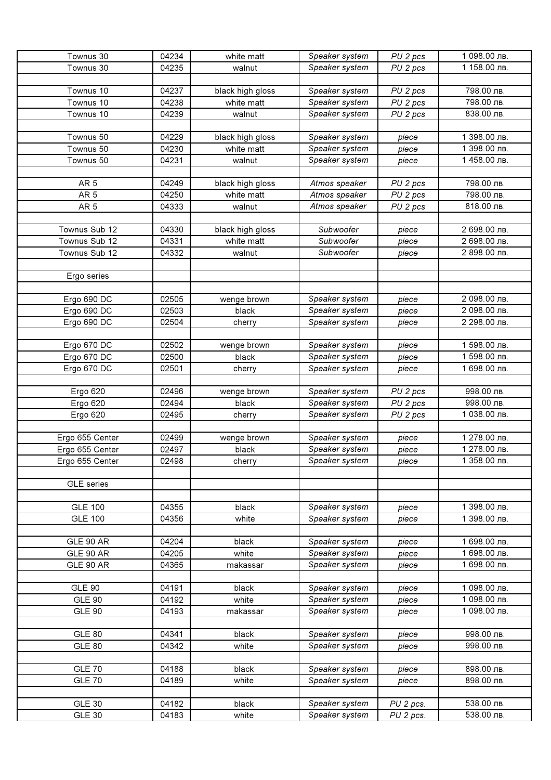| Townus 30         | 04234 | white matt       | Speaker system | PU 2 pcs            | 1 098.00 лв.              |
|-------------------|-------|------------------|----------------|---------------------|---------------------------|
| Townus 30         | 04235 | walnut           | Speaker system | PU <sub>2</sub> pcs | 1 158.00 лв.              |
|                   |       |                  |                |                     |                           |
| Townus 10         | 04237 | black high gloss | Speaker system | PU 2 pcs            | 798.00 лв.                |
| Townus 10         | 04238 | white matt       | Speaker system | PU 2 pcs            | 798.00 лв.                |
| Townus 10         | 04239 | walnut           | Speaker system | PU 2 pcs            | 838.00 лв.                |
|                   |       |                  |                |                     |                           |
| Townus 50         | 04229 | black high gloss | Speaker system | piece               | 1 398.00 лв.              |
| Townus 50         | 04230 | white matt       | Speaker system | piece               | 1 398.00 лв.              |
| Townus 50         | 04231 | walnut           | Speaker system | piece               | $\overline{1}$ 458.00 лв. |
|                   |       |                  |                |                     |                           |
| AR <sub>5</sub>   | 04249 | black high gloss | Atmos speaker  | PU 2 pcs            | 798.00 лв.                |
| AR <sub>5</sub>   | 04250 | white matt       | Atmos speaker  | PU 2 pcs            | 798.00 лв.                |
| AR <sub>5</sub>   | 04333 | walnut           | Atmos speaker  | PU 2 pcs            | 818.00 лв.                |
|                   |       |                  |                |                     |                           |
| Townus Sub 12     | 04330 | black high gloss | Subwoofer      | piece               | 2 698.00 лв.              |
| Townus Sub 12     | 04331 | white matt       | Subwoofer      | piece               | 2 698.00 лв.              |
| Townus Sub 12     | 04332 | walnut           | Subwoofer      | piece               | 2 898.00 лв.              |
|                   |       |                  |                |                     |                           |
| Ergo series       |       |                  |                |                     |                           |
|                   |       |                  |                |                     |                           |
| Ergo 690 DC       | 02505 | wenge brown      | Speaker system | piece               | 2 098.00 лв.              |
| Ergo 690 DC       | 02503 | black            | Speaker system | piece               | 2 098.00 лв.              |
| Ergo 690 DC       | 02504 | cherry           | Speaker system | piece               | 2 298.00 лв.              |
|                   |       |                  |                |                     |                           |
| Ergo 670 DC       | 02502 | wenge brown      | Speaker system | piece               | 1 598.00 лв.              |
| Ergo 670 DC       | 02500 | black            | Speaker system | piece               | 1 598.00 лв.              |
| Ergo 670 DC       | 02501 | cherry           | Speaker system | piece               | 1 698.00 лв.              |
|                   |       |                  |                |                     |                           |
| <b>Ergo 620</b>   | 02496 | wenge brown      | Speaker system | PU 2 pcs            | 998.00 лв.                |
| Ergo 620          | 02494 | black            | Speaker system | PU 2 pcs            | 998.00 лв.                |
| Ergo 620          | 02495 | cherry           | Speaker system | PU 2 pcs            | 1 038.00 лв.              |
|                   |       |                  |                |                     |                           |
| Ergo 655 Center   | 02499 | wenge brown      | Speaker system | piece               | 1 278.00 лв.              |
| Ergo 655 Center   | 02497 | black            | Speaker system | piece               | 1 278.00 лв.              |
| Ergo 655 Center   | 02498 | cherry           | Speaker system | piece               | 1 358.00 лв.              |
|                   |       |                  |                |                     |                           |
| <b>GLE</b> series |       |                  |                |                     |                           |
|                   |       |                  |                |                     |                           |
| <b>GLE 100</b>    | 04355 | black            | Speaker system | piece               | 1 398.00 лв.              |
| <b>GLE 100</b>    | 04356 | white            | Speaker system | piece               | 1 398.00 лв.              |
|                   |       |                  |                |                     |                           |
| GLE 90 AR         | 04204 | black            | Speaker system | piece               | 1 698.00 лв.              |
| GLE 90 AR         | 04205 | white            | Speaker system | piece               | 1 698.00 лв.              |
| GLE 90 AR         | 04365 | makassar         | Speaker system | piece               | 1 698.00 лв.              |
|                   |       |                  |                |                     |                           |
| <b>GLE 90</b>     | 04191 | black            | Speaker system | piece               | 1 098.00 лв.              |
| <b>GLE 90</b>     | 04192 | white            | Speaker system | piece               | 1 098.00 лв.              |
| <b>GLE 90</b>     | 04193 | makassar         | Speaker system | piece               | 1 098.00 лв.              |
|                   |       |                  |                |                     |                           |
| <b>GLE 80</b>     | 04341 | black            | Speaker system | piece               | 998.00 лв.                |
| <b>GLE 80</b>     | 04342 | white            | Speaker system | piece               | 998.00 лв.                |
|                   |       |                  |                |                     |                           |
| <b>GLE 70</b>     | 04188 | black            | Speaker system | piece               | 898.00 лв.                |
| <b>GLE 70</b>     | 04189 | white            | Speaker system | piece               | 898.00 лв.                |
|                   |       |                  |                |                     |                           |
| <b>GLE 30</b>     | 04182 | black            | Speaker system | PU 2 pcs.           | 538.00 лв.                |
| <b>GLE 30</b>     | 04183 | white            | Speaker system | PU 2 pcs.           | 538.00 лв.                |
|                   |       |                  |                |                     |                           |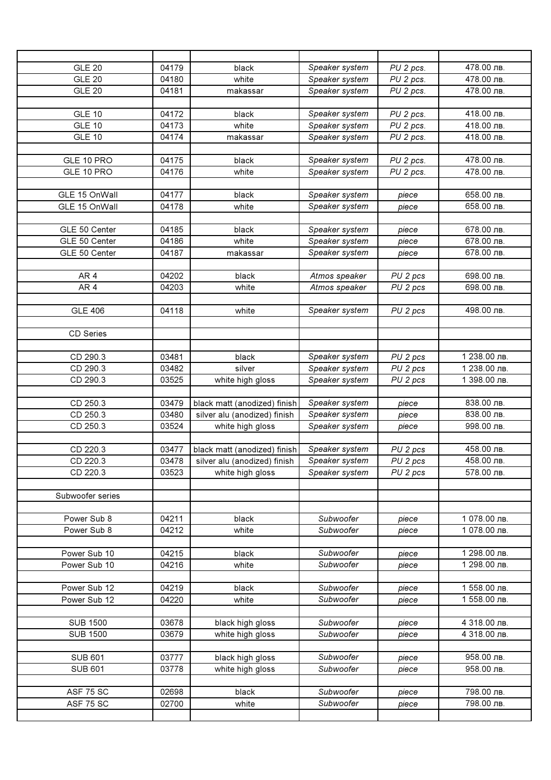| <b>GLE 20</b>    | 04179 | black                        | Speaker system | PU 2 pcs. | 478.00 лв.    |
|------------------|-------|------------------------------|----------------|-----------|---------------|
| <b>GLE 20</b>    | 04180 | white                        | Speaker system | PU 2 pcs. | 478.00 лв.    |
| <b>GLE 20</b>    | 04181 | makassar                     | Speaker system | PU 2 pcs. | 478.00 лв.    |
|                  |       |                              |                |           |               |
| <b>GLE 10</b>    | 04172 | black                        | Speaker system | PU 2 pcs. | 418.00 лв.    |
| <b>GLE 10</b>    | 04173 | white                        | Speaker system | PU 2 pcs. | 418.00 лв.    |
| <b>GLE 10</b>    | 04174 | makassar                     | Speaker system | PU 2 pcs. | 418.00 лв.    |
|                  |       |                              |                |           |               |
| GLE 10 PRO       | 04175 | black                        | Speaker system | PU 2 pcs. | 478.00 лв.    |
| GLE 10 PRO       | 04176 | white                        | Speaker system | PU 2 pcs. | 478.00 лв.    |
|                  |       |                              |                |           |               |
| GLE 15 OnWall    | 04177 | black                        | Speaker system | piece     | 658.00 лв.    |
| GLE 15 OnWall    | 04178 | white                        | Speaker system |           | 658.00 лв.    |
|                  |       |                              |                | piece     |               |
| GLE 50 Center    | 04185 | black                        | Speaker system | piece     | 678.00 лв.    |
| GLE 50 Center    | 04186 | white                        | Speaker system |           | 678.00 лв.    |
|                  |       |                              |                | piece     |               |
| GLE 50 Center    | 04187 | makassar                     | Speaker system | piece     | 678.00 лв.    |
|                  |       |                              |                |           |               |
| AR <sub>4</sub>  | 04202 | black                        | Atmos speaker  | PU 2 pcs  | 698.00 лв.    |
| AR <sub>4</sub>  | 04203 | white                        | Atmos speaker  | PU 2 pcs  | 698.00 лв.    |
|                  |       |                              |                |           |               |
| <b>GLE 406</b>   | 04118 | white                        | Speaker system | PU 2 pcs  | 498.00 лв.    |
|                  |       |                              |                |           |               |
| CD Series        |       |                              |                |           |               |
| CD 290.3         | 03481 | black                        |                |           | 1 238.00 лв.  |
|                  |       |                              | Speaker system | PU 2 pcs  | 1 238.00 лв.  |
| CD 290.3         | 03482 | silver                       | Speaker system | PU 2 pcs  |               |
| CD 290.3         | 03525 | white high gloss             | Speaker system | PU 2 pcs  | $1398.00$ лв. |
|                  |       |                              |                |           |               |
| CD 250.3         | 03479 | black matt (anodized) finish | Speaker system | piece     | 838.00 лв.    |
| CD 250.3         | 03480 | silver alu (anodized) finish | Speaker system | piece     | 838.00 лв.    |
| CD 250.3         | 03524 | white high gloss             | Speaker system | piece     | 998.00 лв.    |
|                  |       |                              |                |           |               |
| CD 220.3         | 03477 | black matt (anodized) finish | Speaker system | PU 2 pcs  | 458.00 лв.    |
| CD 220.3         | 03478 | silver alu (anodized) finish | Speaker system | PU 2 pcs  | 458.00 лв.    |
| CD 220.3         | 03523 | white high gloss             | Speaker system | PU 2 pcs  | 578.00 лв.    |
|                  |       |                              |                |           |               |
| Subwoofer series |       |                              |                |           |               |
|                  |       |                              |                |           |               |
| Power Sub 8      | 04211 | black                        | Subwoofer      | piece     | 1 078.00 лв.  |
| Power Sub 8      | 04212 | white                        | Subwoofer      | piece     | $1078.00$ лв. |
|                  |       |                              |                |           |               |
| Power Sub 10     | 04215 | black                        | Subwoofer      | piece     | 1 298.00 лв.  |
| Power Sub 10     | 04216 | white                        | Subwoofer      | piece     | 1 298.00 лв.  |
|                  |       |                              |                |           |               |
| Power Sub 12     | 04219 | black                        | Subwoofer      | piece     | 1 558.00 лв.  |
| Power Sub 12     | 04220 | white                        | Subwoofer      | piece     | 1 558.00 лв.  |
|                  |       |                              |                |           |               |
| <b>SUB 1500</b>  | 03678 | black high gloss             | Subwoofer      | piece     | 4 318.00 лв.  |
| <b>SUB 1500</b>  | 03679 | white high gloss             | Subwoofer      | piece     | 4 318.00 лв.  |
|                  |       |                              |                |           |               |
| <b>SUB 601</b>   | 03777 | black high gloss             | Subwoofer      | piece     | 958.00 лв.    |
| <b>SUB 601</b>   | 03778 | white high gloss             | Subwoofer      | piece     | 958.00 лв.    |
|                  |       |                              |                |           |               |
| ASF 75 SC        | 02698 | black                        | Subwoofer      | piece     | 798.00 лв.    |
| ASF 75 SC        | 02700 | white                        | Subwoofer      | piece     | 798.00 лв.    |
|                  |       |                              |                |           |               |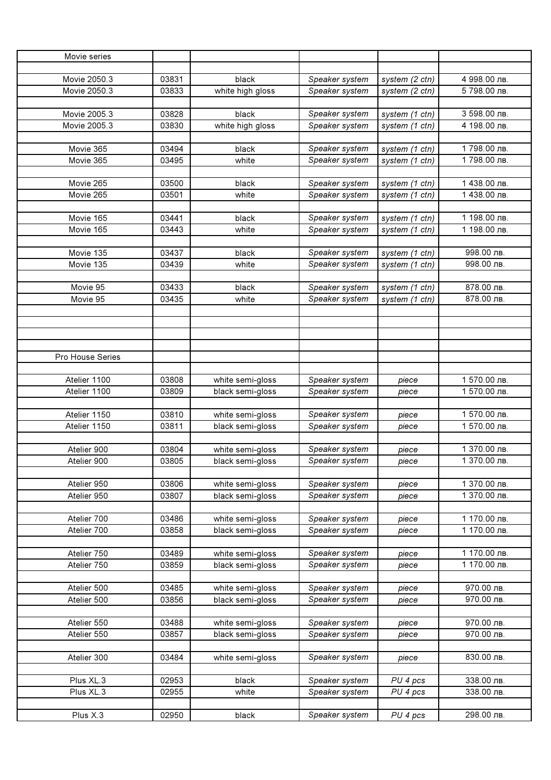| Movie series     |       |                  |                |                |              |
|------------------|-------|------------------|----------------|----------------|--------------|
|                  |       |                  |                |                |              |
| Movie 2050.3     | 03831 | black            | Speaker system | system (2 ctn) | 4 998.00 лв. |
| Movie 2050.3     | 03833 | white high gloss | Speaker system | system (2 ctn) | 5798.00 лв.  |
|                  |       |                  |                |                |              |
| Movie 2005.3     | 03828 | black            | Speaker system | system (1 ctn) | 3 598.00 лв. |
| Movie 2005.3     | 03830 | white high gloss | Speaker system | system (1 ctn) | 4 198.00 лв. |
|                  |       |                  |                |                |              |
| Movie 365        | 03494 | black            | Speaker system | system (1 ctn) | 1798.00 лв.  |
| Movie 365        | 03495 | white            | Speaker system | system (1 ctn) | 1798.00 лв.  |
|                  |       |                  |                |                |              |
| Movie 265        | 03500 | black            | Speaker system | system (1 ctn) | 1 438.00 лв. |
| Movie 265        | 03501 | white            | Speaker system | system (1 ctn) | 1 438.00 лв. |
|                  |       |                  |                |                |              |
| Movie 165        | 03441 | black            | Speaker system | system (1 ctn) | 1 198.00 лв. |
| Movie 165        | 03443 | white            | Speaker system | system (1 ctn) | 1 198.00 лв. |
|                  |       |                  |                |                |              |
| Movie 135        | 03437 | black            | Speaker system | system (1 ctn) | 998.00 лв.   |
| Movie 135        | 03439 | white            | Speaker system | system (1 ctn) | 998.00 лв.   |
|                  |       |                  |                |                |              |
| Movie 95         | 03433 | black            | Speaker system | system (1 ctn) | 878.00 лв.   |
| Movie 95         | 03435 | white            | Speaker system | system (1 ctn) | 878.00 лв.   |
|                  |       |                  |                |                |              |
|                  |       |                  |                |                |              |
|                  |       |                  |                |                |              |
|                  |       |                  |                |                |              |
| Pro House Series |       |                  |                |                |              |
|                  |       |                  |                |                |              |
| Atelier 1100     | 03808 | white semi-gloss | Speaker system | piece          | 1 570.00 лв. |
| Atelier 1100     | 03809 | black semi-gloss | Speaker system | piece          | 1 570.00 лв. |
|                  |       |                  |                |                |              |
| Atelier 1150     | 03810 | white semi-gloss | Speaker system | piece          | 1 570.00 лв. |
| Atelier 1150     | 03811 | black semi-gloss | Speaker system | piece          | 1 570.00 лв. |
|                  |       |                  |                |                |              |
| Atelier 900      | 03804 | white semi-gloss | Speaker system | piece          | 1 370.00 лв. |
| Atelier 900      | 03805 | black semi-gloss | Speaker system | piece          | 1 370.00 лв. |
|                  |       |                  |                |                |              |
| Atelier 950      | 03806 | white semi-gloss | Speaker system | piece          | 1 370.00 лв. |
| Atelier 950      | 03807 | black semi-gloss | Speaker system | piece          | 1 370.00 лв. |
|                  |       |                  |                |                |              |
| Atelier 700      | 03486 | white semi-gloss | Speaker system | piece          | 1 170.00 лв. |
| Atelier 700      | 03858 | black semi-gloss | Speaker system | piece          | 1 170.00 лв. |
|                  |       |                  |                |                |              |
| Atelier 750      | 03489 | white semi-gloss | Speaker system | piece          | 1 170.00 лв. |
| Atelier 750      | 03859 | black semi-gloss | Speaker system | piece          | 1 170.00 лв. |
|                  |       |                  |                |                |              |
| Atelier 500      | 03485 | white semi-gloss | Speaker system | piece          | 970.00 лв.   |
| Atelier 500      | 03856 | black semi-gloss | Speaker system | piece          | 970.00 лв.   |
|                  |       |                  |                |                |              |
| Atelier 550      | 03488 | white semi-gloss | Speaker system | piece          | 970.00 лв.   |
| Atelier 550      | 03857 | black semi-gloss | Speaker system | piece          | 970.00 лв.   |
|                  |       |                  |                |                |              |
| Atelier 300      | 03484 | white semi-gloss | Speaker system | piece          | 830.00 лв.   |
|                  |       |                  |                |                |              |
| Plus XL.3        | 02953 | black            | Speaker system | PU 4 pcs       | 338.00 лв.   |
| Plus XL.3        | 02955 | white            | Speaker system | PU 4 pcs       | 338.00 лв.   |
|                  |       |                  |                |                |              |
| Plus X.3         | 02950 | black            | Speaker system | PU 4 pcs       | 298.00 лв.   |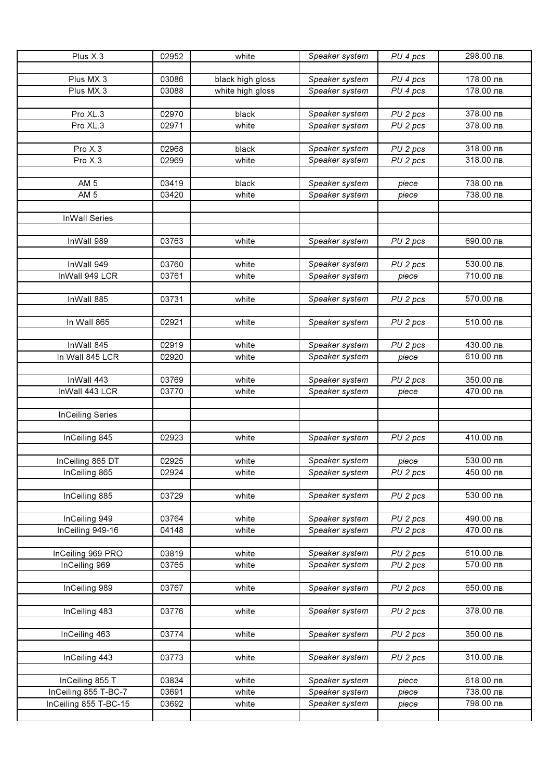| 178.00 лв.<br>Plus MX.3<br>Speaker system<br>03086<br>PU 4 pcs<br>black high gloss<br>Plus MX.3<br>178.00 лв.<br>Speaker system<br>03088<br>white high gloss<br>PU 4 pcs<br>Pro XL.3<br>PU 2 pcs<br>378.00 лв.<br>02970<br>black<br>Speaker system<br>378.00 лв.<br>Pro XL.3<br>02971<br>white<br>Speaker system<br>PU 2 pcs<br>Pro X.3<br>Speaker system<br>318.00 лв.<br>02968<br>PU 2 pcs<br>black<br>Pro X.3<br>318.00 лв.<br>Speaker system<br>PU 2 pcs<br>02969<br>white<br>Speaker system<br>738.00 лв.<br>AM <sub>5</sub><br>03419<br>black<br>piece<br>AM <sub>5</sub><br>03420<br>white<br>Speaker system<br>738.00 лв.<br>piece<br><b>InWall Series</b><br>690.00 лв.<br>InWall 989<br>03763<br>PU <sub>2</sub> pcs<br>white<br>Speaker system<br>InWall 949<br>03760<br>530.00 лв.<br>white<br>Speaker system<br>PU 2 pcs<br>InWall 949 LCR<br>03761<br>Speaker system<br>white<br>710.00 лв.<br>piece<br>Speaker system<br>570.00 лв.<br>InWall 885<br>03731<br>white<br>PU 2 pcs<br>510.00 лв.<br>In Wall 865<br>Speaker system<br>02921<br>white<br>PU 2 pcs<br>InWall 845<br>02919<br>white<br>430.00 лв.<br>Speaker system<br>PU 2 pcs<br>In Wall 845 LCR<br>02920<br>white<br>Speaker system<br>610.00 лв.<br>piece<br>InWall 443<br>Speaker system<br>350.00 лв.<br>03769<br>white<br>PU 2 pcs<br>InWall 443 LCR<br>03770<br>470.00 лв.<br>white<br>Speaker system<br>piece<br><b>InCeiling Series</b><br>InCeiling 845<br>02923<br>white<br>PU 2 pcs<br>410.00 лв.<br>Speaker system<br>530.00 лв.<br>02925<br>Speaker system<br>InCeiling 865 DT<br>white<br>piece<br>InCeiling 865<br>02924<br>Speaker system<br>450.00 лв.<br>white<br>PU 2 pcs<br>Speaker system<br>530.00 лв.<br>InCeiling 885<br>03729<br>white<br>PU <sub>2</sub> pcs<br>InCeiling 949<br>03764<br>Speaker system<br>PU 2 pcs<br>490.00 лв.<br>white<br>470.00 лв.<br>InCeiling 949-16<br>04148<br>Speaker system<br>PU 2 pcs<br>white<br>InCeiling 969 PRO<br>03819<br>Speaker system<br>PU 2 pcs<br>610.00 лв.<br>white<br>570.00 лв.<br>InCeiling 969<br>03765<br>Speaker system<br>white<br>PU 2 pcs<br>InCeiling 989<br>03767<br>PU 2 pcs<br>white<br>Speaker system<br>650.00 лв.<br>378.00 лв.<br>Speaker system<br>InCeiling 483<br>03776<br>white<br>PU 2 pcs<br>03774<br>white<br>350.00 лв.<br>InCeiling 463<br>Speaker system<br>PU 2 pcs<br>03773<br>310.00 лв.<br>InCeiling 443<br>white<br>Speaker system<br>PU 2 pcs<br>618.00 лв.<br>InCeiling 855 T<br>03834<br>white<br>Speaker system<br>piece<br>Speaker system<br>738.00 лв.<br>InCeiling 855 T-BC-7<br>03691<br>white<br>piece<br>InCeiling 855 T-BC-15<br>03692<br>white<br>Speaker system<br>798.00 лв.<br>piece | Plus X.3 | 02952 | white | Speaker system | PU 4 pcs | 298.00 лв. |
|--------------------------------------------------------------------------------------------------------------------------------------------------------------------------------------------------------------------------------------------------------------------------------------------------------------------------------------------------------------------------------------------------------------------------------------------------------------------------------------------------------------------------------------------------------------------------------------------------------------------------------------------------------------------------------------------------------------------------------------------------------------------------------------------------------------------------------------------------------------------------------------------------------------------------------------------------------------------------------------------------------------------------------------------------------------------------------------------------------------------------------------------------------------------------------------------------------------------------------------------------------------------------------------------------------------------------------------------------------------------------------------------------------------------------------------------------------------------------------------------------------------------------------------------------------------------------------------------------------------------------------------------------------------------------------------------------------------------------------------------------------------------------------------------------------------------------------------------------------------------------------------------------------------------------------------------------------------------------------------------------------------------------------------------------------------------------------------------------------------------------------------------------------------------------------------------------------------------------------------------------------------------------------------------------------------------------------------------------------------------------------------------------------------------------------------------------------------------------------------------------------------------------------------------------------------------------------------------------------------------------------------------------------------------------------------|----------|-------|-------|----------------|----------|------------|
|                                                                                                                                                                                                                                                                                                                                                                                                                                                                                                                                                                                                                                                                                                                                                                                                                                                                                                                                                                                                                                                                                                                                                                                                                                                                                                                                                                                                                                                                                                                                                                                                                                                                                                                                                                                                                                                                                                                                                                                                                                                                                                                                                                                                                                                                                                                                                                                                                                                                                                                                                                                                                                                                                      |          |       |       |                |          |            |
|                                                                                                                                                                                                                                                                                                                                                                                                                                                                                                                                                                                                                                                                                                                                                                                                                                                                                                                                                                                                                                                                                                                                                                                                                                                                                                                                                                                                                                                                                                                                                                                                                                                                                                                                                                                                                                                                                                                                                                                                                                                                                                                                                                                                                                                                                                                                                                                                                                                                                                                                                                                                                                                                                      |          |       |       |                |          |            |
|                                                                                                                                                                                                                                                                                                                                                                                                                                                                                                                                                                                                                                                                                                                                                                                                                                                                                                                                                                                                                                                                                                                                                                                                                                                                                                                                                                                                                                                                                                                                                                                                                                                                                                                                                                                                                                                                                                                                                                                                                                                                                                                                                                                                                                                                                                                                                                                                                                                                                                                                                                                                                                                                                      |          |       |       |                |          |            |
|                                                                                                                                                                                                                                                                                                                                                                                                                                                                                                                                                                                                                                                                                                                                                                                                                                                                                                                                                                                                                                                                                                                                                                                                                                                                                                                                                                                                                                                                                                                                                                                                                                                                                                                                                                                                                                                                                                                                                                                                                                                                                                                                                                                                                                                                                                                                                                                                                                                                                                                                                                                                                                                                                      |          |       |       |                |          |            |
|                                                                                                                                                                                                                                                                                                                                                                                                                                                                                                                                                                                                                                                                                                                                                                                                                                                                                                                                                                                                                                                                                                                                                                                                                                                                                                                                                                                                                                                                                                                                                                                                                                                                                                                                                                                                                                                                                                                                                                                                                                                                                                                                                                                                                                                                                                                                                                                                                                                                                                                                                                                                                                                                                      |          |       |       |                |          |            |
|                                                                                                                                                                                                                                                                                                                                                                                                                                                                                                                                                                                                                                                                                                                                                                                                                                                                                                                                                                                                                                                                                                                                                                                                                                                                                                                                                                                                                                                                                                                                                                                                                                                                                                                                                                                                                                                                                                                                                                                                                                                                                                                                                                                                                                                                                                                                                                                                                                                                                                                                                                                                                                                                                      |          |       |       |                |          |            |
|                                                                                                                                                                                                                                                                                                                                                                                                                                                                                                                                                                                                                                                                                                                                                                                                                                                                                                                                                                                                                                                                                                                                                                                                                                                                                                                                                                                                                                                                                                                                                                                                                                                                                                                                                                                                                                                                                                                                                                                                                                                                                                                                                                                                                                                                                                                                                                                                                                                                                                                                                                                                                                                                                      |          |       |       |                |          |            |
|                                                                                                                                                                                                                                                                                                                                                                                                                                                                                                                                                                                                                                                                                                                                                                                                                                                                                                                                                                                                                                                                                                                                                                                                                                                                                                                                                                                                                                                                                                                                                                                                                                                                                                                                                                                                                                                                                                                                                                                                                                                                                                                                                                                                                                                                                                                                                                                                                                                                                                                                                                                                                                                                                      |          |       |       |                |          |            |
|                                                                                                                                                                                                                                                                                                                                                                                                                                                                                                                                                                                                                                                                                                                                                                                                                                                                                                                                                                                                                                                                                                                                                                                                                                                                                                                                                                                                                                                                                                                                                                                                                                                                                                                                                                                                                                                                                                                                                                                                                                                                                                                                                                                                                                                                                                                                                                                                                                                                                                                                                                                                                                                                                      |          |       |       |                |          |            |
|                                                                                                                                                                                                                                                                                                                                                                                                                                                                                                                                                                                                                                                                                                                                                                                                                                                                                                                                                                                                                                                                                                                                                                                                                                                                                                                                                                                                                                                                                                                                                                                                                                                                                                                                                                                                                                                                                                                                                                                                                                                                                                                                                                                                                                                                                                                                                                                                                                                                                                                                                                                                                                                                                      |          |       |       |                |          |            |
|                                                                                                                                                                                                                                                                                                                                                                                                                                                                                                                                                                                                                                                                                                                                                                                                                                                                                                                                                                                                                                                                                                                                                                                                                                                                                                                                                                                                                                                                                                                                                                                                                                                                                                                                                                                                                                                                                                                                                                                                                                                                                                                                                                                                                                                                                                                                                                                                                                                                                                                                                                                                                                                                                      |          |       |       |                |          |            |
|                                                                                                                                                                                                                                                                                                                                                                                                                                                                                                                                                                                                                                                                                                                                                                                                                                                                                                                                                                                                                                                                                                                                                                                                                                                                                                                                                                                                                                                                                                                                                                                                                                                                                                                                                                                                                                                                                                                                                                                                                                                                                                                                                                                                                                                                                                                                                                                                                                                                                                                                                                                                                                                                                      |          |       |       |                |          |            |
|                                                                                                                                                                                                                                                                                                                                                                                                                                                                                                                                                                                                                                                                                                                                                                                                                                                                                                                                                                                                                                                                                                                                                                                                                                                                                                                                                                                                                                                                                                                                                                                                                                                                                                                                                                                                                                                                                                                                                                                                                                                                                                                                                                                                                                                                                                                                                                                                                                                                                                                                                                                                                                                                                      |          |       |       |                |          |            |
|                                                                                                                                                                                                                                                                                                                                                                                                                                                                                                                                                                                                                                                                                                                                                                                                                                                                                                                                                                                                                                                                                                                                                                                                                                                                                                                                                                                                                                                                                                                                                                                                                                                                                                                                                                                                                                                                                                                                                                                                                                                                                                                                                                                                                                                                                                                                                                                                                                                                                                                                                                                                                                                                                      |          |       |       |                |          |            |
|                                                                                                                                                                                                                                                                                                                                                                                                                                                                                                                                                                                                                                                                                                                                                                                                                                                                                                                                                                                                                                                                                                                                                                                                                                                                                                                                                                                                                                                                                                                                                                                                                                                                                                                                                                                                                                                                                                                                                                                                                                                                                                                                                                                                                                                                                                                                                                                                                                                                                                                                                                                                                                                                                      |          |       |       |                |          |            |
|                                                                                                                                                                                                                                                                                                                                                                                                                                                                                                                                                                                                                                                                                                                                                                                                                                                                                                                                                                                                                                                                                                                                                                                                                                                                                                                                                                                                                                                                                                                                                                                                                                                                                                                                                                                                                                                                                                                                                                                                                                                                                                                                                                                                                                                                                                                                                                                                                                                                                                                                                                                                                                                                                      |          |       |       |                |          |            |
|                                                                                                                                                                                                                                                                                                                                                                                                                                                                                                                                                                                                                                                                                                                                                                                                                                                                                                                                                                                                                                                                                                                                                                                                                                                                                                                                                                                                                                                                                                                                                                                                                                                                                                                                                                                                                                                                                                                                                                                                                                                                                                                                                                                                                                                                                                                                                                                                                                                                                                                                                                                                                                                                                      |          |       |       |                |          |            |
|                                                                                                                                                                                                                                                                                                                                                                                                                                                                                                                                                                                                                                                                                                                                                                                                                                                                                                                                                                                                                                                                                                                                                                                                                                                                                                                                                                                                                                                                                                                                                                                                                                                                                                                                                                                                                                                                                                                                                                                                                                                                                                                                                                                                                                                                                                                                                                                                                                                                                                                                                                                                                                                                                      |          |       |       |                |          |            |
|                                                                                                                                                                                                                                                                                                                                                                                                                                                                                                                                                                                                                                                                                                                                                                                                                                                                                                                                                                                                                                                                                                                                                                                                                                                                                                                                                                                                                                                                                                                                                                                                                                                                                                                                                                                                                                                                                                                                                                                                                                                                                                                                                                                                                                                                                                                                                                                                                                                                                                                                                                                                                                                                                      |          |       |       |                |          |            |
|                                                                                                                                                                                                                                                                                                                                                                                                                                                                                                                                                                                                                                                                                                                                                                                                                                                                                                                                                                                                                                                                                                                                                                                                                                                                                                                                                                                                                                                                                                                                                                                                                                                                                                                                                                                                                                                                                                                                                                                                                                                                                                                                                                                                                                                                                                                                                                                                                                                                                                                                                                                                                                                                                      |          |       |       |                |          |            |
|                                                                                                                                                                                                                                                                                                                                                                                                                                                                                                                                                                                                                                                                                                                                                                                                                                                                                                                                                                                                                                                                                                                                                                                                                                                                                                                                                                                                                                                                                                                                                                                                                                                                                                                                                                                                                                                                                                                                                                                                                                                                                                                                                                                                                                                                                                                                                                                                                                                                                                                                                                                                                                                                                      |          |       |       |                |          |            |
|                                                                                                                                                                                                                                                                                                                                                                                                                                                                                                                                                                                                                                                                                                                                                                                                                                                                                                                                                                                                                                                                                                                                                                                                                                                                                                                                                                                                                                                                                                                                                                                                                                                                                                                                                                                                                                                                                                                                                                                                                                                                                                                                                                                                                                                                                                                                                                                                                                                                                                                                                                                                                                                                                      |          |       |       |                |          |            |
|                                                                                                                                                                                                                                                                                                                                                                                                                                                                                                                                                                                                                                                                                                                                                                                                                                                                                                                                                                                                                                                                                                                                                                                                                                                                                                                                                                                                                                                                                                                                                                                                                                                                                                                                                                                                                                                                                                                                                                                                                                                                                                                                                                                                                                                                                                                                                                                                                                                                                                                                                                                                                                                                                      |          |       |       |                |          |            |
|                                                                                                                                                                                                                                                                                                                                                                                                                                                                                                                                                                                                                                                                                                                                                                                                                                                                                                                                                                                                                                                                                                                                                                                                                                                                                                                                                                                                                                                                                                                                                                                                                                                                                                                                                                                                                                                                                                                                                                                                                                                                                                                                                                                                                                                                                                                                                                                                                                                                                                                                                                                                                                                                                      |          |       |       |                |          |            |
|                                                                                                                                                                                                                                                                                                                                                                                                                                                                                                                                                                                                                                                                                                                                                                                                                                                                                                                                                                                                                                                                                                                                                                                                                                                                                                                                                                                                                                                                                                                                                                                                                                                                                                                                                                                                                                                                                                                                                                                                                                                                                                                                                                                                                                                                                                                                                                                                                                                                                                                                                                                                                                                                                      |          |       |       |                |          |            |
|                                                                                                                                                                                                                                                                                                                                                                                                                                                                                                                                                                                                                                                                                                                                                                                                                                                                                                                                                                                                                                                                                                                                                                                                                                                                                                                                                                                                                                                                                                                                                                                                                                                                                                                                                                                                                                                                                                                                                                                                                                                                                                                                                                                                                                                                                                                                                                                                                                                                                                                                                                                                                                                                                      |          |       |       |                |          |            |
|                                                                                                                                                                                                                                                                                                                                                                                                                                                                                                                                                                                                                                                                                                                                                                                                                                                                                                                                                                                                                                                                                                                                                                                                                                                                                                                                                                                                                                                                                                                                                                                                                                                                                                                                                                                                                                                                                                                                                                                                                                                                                                                                                                                                                                                                                                                                                                                                                                                                                                                                                                                                                                                                                      |          |       |       |                |          |            |
|                                                                                                                                                                                                                                                                                                                                                                                                                                                                                                                                                                                                                                                                                                                                                                                                                                                                                                                                                                                                                                                                                                                                                                                                                                                                                                                                                                                                                                                                                                                                                                                                                                                                                                                                                                                                                                                                                                                                                                                                                                                                                                                                                                                                                                                                                                                                                                                                                                                                                                                                                                                                                                                                                      |          |       |       |                |          |            |
|                                                                                                                                                                                                                                                                                                                                                                                                                                                                                                                                                                                                                                                                                                                                                                                                                                                                                                                                                                                                                                                                                                                                                                                                                                                                                                                                                                                                                                                                                                                                                                                                                                                                                                                                                                                                                                                                                                                                                                                                                                                                                                                                                                                                                                                                                                                                                                                                                                                                                                                                                                                                                                                                                      |          |       |       |                |          |            |
|                                                                                                                                                                                                                                                                                                                                                                                                                                                                                                                                                                                                                                                                                                                                                                                                                                                                                                                                                                                                                                                                                                                                                                                                                                                                                                                                                                                                                                                                                                                                                                                                                                                                                                                                                                                                                                                                                                                                                                                                                                                                                                                                                                                                                                                                                                                                                                                                                                                                                                                                                                                                                                                                                      |          |       |       |                |          |            |
|                                                                                                                                                                                                                                                                                                                                                                                                                                                                                                                                                                                                                                                                                                                                                                                                                                                                                                                                                                                                                                                                                                                                                                                                                                                                                                                                                                                                                                                                                                                                                                                                                                                                                                                                                                                                                                                                                                                                                                                                                                                                                                                                                                                                                                                                                                                                                                                                                                                                                                                                                                                                                                                                                      |          |       |       |                |          |            |
|                                                                                                                                                                                                                                                                                                                                                                                                                                                                                                                                                                                                                                                                                                                                                                                                                                                                                                                                                                                                                                                                                                                                                                                                                                                                                                                                                                                                                                                                                                                                                                                                                                                                                                                                                                                                                                                                                                                                                                                                                                                                                                                                                                                                                                                                                                                                                                                                                                                                                                                                                                                                                                                                                      |          |       |       |                |          |            |
|                                                                                                                                                                                                                                                                                                                                                                                                                                                                                                                                                                                                                                                                                                                                                                                                                                                                                                                                                                                                                                                                                                                                                                                                                                                                                                                                                                                                                                                                                                                                                                                                                                                                                                                                                                                                                                                                                                                                                                                                                                                                                                                                                                                                                                                                                                                                                                                                                                                                                                                                                                                                                                                                                      |          |       |       |                |          |            |
|                                                                                                                                                                                                                                                                                                                                                                                                                                                                                                                                                                                                                                                                                                                                                                                                                                                                                                                                                                                                                                                                                                                                                                                                                                                                                                                                                                                                                                                                                                                                                                                                                                                                                                                                                                                                                                                                                                                                                                                                                                                                                                                                                                                                                                                                                                                                                                                                                                                                                                                                                                                                                                                                                      |          |       |       |                |          |            |
|                                                                                                                                                                                                                                                                                                                                                                                                                                                                                                                                                                                                                                                                                                                                                                                                                                                                                                                                                                                                                                                                                                                                                                                                                                                                                                                                                                                                                                                                                                                                                                                                                                                                                                                                                                                                                                                                                                                                                                                                                                                                                                                                                                                                                                                                                                                                                                                                                                                                                                                                                                                                                                                                                      |          |       |       |                |          |            |
|                                                                                                                                                                                                                                                                                                                                                                                                                                                                                                                                                                                                                                                                                                                                                                                                                                                                                                                                                                                                                                                                                                                                                                                                                                                                                                                                                                                                                                                                                                                                                                                                                                                                                                                                                                                                                                                                                                                                                                                                                                                                                                                                                                                                                                                                                                                                                                                                                                                                                                                                                                                                                                                                                      |          |       |       |                |          |            |
|                                                                                                                                                                                                                                                                                                                                                                                                                                                                                                                                                                                                                                                                                                                                                                                                                                                                                                                                                                                                                                                                                                                                                                                                                                                                                                                                                                                                                                                                                                                                                                                                                                                                                                                                                                                                                                                                                                                                                                                                                                                                                                                                                                                                                                                                                                                                                                                                                                                                                                                                                                                                                                                                                      |          |       |       |                |          |            |
|                                                                                                                                                                                                                                                                                                                                                                                                                                                                                                                                                                                                                                                                                                                                                                                                                                                                                                                                                                                                                                                                                                                                                                                                                                                                                                                                                                                                                                                                                                                                                                                                                                                                                                                                                                                                                                                                                                                                                                                                                                                                                                                                                                                                                                                                                                                                                                                                                                                                                                                                                                                                                                                                                      |          |       |       |                |          |            |
|                                                                                                                                                                                                                                                                                                                                                                                                                                                                                                                                                                                                                                                                                                                                                                                                                                                                                                                                                                                                                                                                                                                                                                                                                                                                                                                                                                                                                                                                                                                                                                                                                                                                                                                                                                                                                                                                                                                                                                                                                                                                                                                                                                                                                                                                                                                                                                                                                                                                                                                                                                                                                                                                                      |          |       |       |                |          |            |
|                                                                                                                                                                                                                                                                                                                                                                                                                                                                                                                                                                                                                                                                                                                                                                                                                                                                                                                                                                                                                                                                                                                                                                                                                                                                                                                                                                                                                                                                                                                                                                                                                                                                                                                                                                                                                                                                                                                                                                                                                                                                                                                                                                                                                                                                                                                                                                                                                                                                                                                                                                                                                                                                                      |          |       |       |                |          |            |
|                                                                                                                                                                                                                                                                                                                                                                                                                                                                                                                                                                                                                                                                                                                                                                                                                                                                                                                                                                                                                                                                                                                                                                                                                                                                                                                                                                                                                                                                                                                                                                                                                                                                                                                                                                                                                                                                                                                                                                                                                                                                                                                                                                                                                                                                                                                                                                                                                                                                                                                                                                                                                                                                                      |          |       |       |                |          |            |
|                                                                                                                                                                                                                                                                                                                                                                                                                                                                                                                                                                                                                                                                                                                                                                                                                                                                                                                                                                                                                                                                                                                                                                                                                                                                                                                                                                                                                                                                                                                                                                                                                                                                                                                                                                                                                                                                                                                                                                                                                                                                                                                                                                                                                                                                                                                                                                                                                                                                                                                                                                                                                                                                                      |          |       |       |                |          |            |
|                                                                                                                                                                                                                                                                                                                                                                                                                                                                                                                                                                                                                                                                                                                                                                                                                                                                                                                                                                                                                                                                                                                                                                                                                                                                                                                                                                                                                                                                                                                                                                                                                                                                                                                                                                                                                                                                                                                                                                                                                                                                                                                                                                                                                                                                                                                                                                                                                                                                                                                                                                                                                                                                                      |          |       |       |                |          |            |
|                                                                                                                                                                                                                                                                                                                                                                                                                                                                                                                                                                                                                                                                                                                                                                                                                                                                                                                                                                                                                                                                                                                                                                                                                                                                                                                                                                                                                                                                                                                                                                                                                                                                                                                                                                                                                                                                                                                                                                                                                                                                                                                                                                                                                                                                                                                                                                                                                                                                                                                                                                                                                                                                                      |          |       |       |                |          |            |
|                                                                                                                                                                                                                                                                                                                                                                                                                                                                                                                                                                                                                                                                                                                                                                                                                                                                                                                                                                                                                                                                                                                                                                                                                                                                                                                                                                                                                                                                                                                                                                                                                                                                                                                                                                                                                                                                                                                                                                                                                                                                                                                                                                                                                                                                                                                                                                                                                                                                                                                                                                                                                                                                                      |          |       |       |                |          |            |
|                                                                                                                                                                                                                                                                                                                                                                                                                                                                                                                                                                                                                                                                                                                                                                                                                                                                                                                                                                                                                                                                                                                                                                                                                                                                                                                                                                                                                                                                                                                                                                                                                                                                                                                                                                                                                                                                                                                                                                                                                                                                                                                                                                                                                                                                                                                                                                                                                                                                                                                                                                                                                                                                                      |          |       |       |                |          |            |
|                                                                                                                                                                                                                                                                                                                                                                                                                                                                                                                                                                                                                                                                                                                                                                                                                                                                                                                                                                                                                                                                                                                                                                                                                                                                                                                                                                                                                                                                                                                                                                                                                                                                                                                                                                                                                                                                                                                                                                                                                                                                                                                                                                                                                                                                                                                                                                                                                                                                                                                                                                                                                                                                                      |          |       |       |                |          |            |
|                                                                                                                                                                                                                                                                                                                                                                                                                                                                                                                                                                                                                                                                                                                                                                                                                                                                                                                                                                                                                                                                                                                                                                                                                                                                                                                                                                                                                                                                                                                                                                                                                                                                                                                                                                                                                                                                                                                                                                                                                                                                                                                                                                                                                                                                                                                                                                                                                                                                                                                                                                                                                                                                                      |          |       |       |                |          |            |
|                                                                                                                                                                                                                                                                                                                                                                                                                                                                                                                                                                                                                                                                                                                                                                                                                                                                                                                                                                                                                                                                                                                                                                                                                                                                                                                                                                                                                                                                                                                                                                                                                                                                                                                                                                                                                                                                                                                                                                                                                                                                                                                                                                                                                                                                                                                                                                                                                                                                                                                                                                                                                                                                                      |          |       |       |                |          |            |
|                                                                                                                                                                                                                                                                                                                                                                                                                                                                                                                                                                                                                                                                                                                                                                                                                                                                                                                                                                                                                                                                                                                                                                                                                                                                                                                                                                                                                                                                                                                                                                                                                                                                                                                                                                                                                                                                                                                                                                                                                                                                                                                                                                                                                                                                                                                                                                                                                                                                                                                                                                                                                                                                                      |          |       |       |                |          |            |
|                                                                                                                                                                                                                                                                                                                                                                                                                                                                                                                                                                                                                                                                                                                                                                                                                                                                                                                                                                                                                                                                                                                                                                                                                                                                                                                                                                                                                                                                                                                                                                                                                                                                                                                                                                                                                                                                                                                                                                                                                                                                                                                                                                                                                                                                                                                                                                                                                                                                                                                                                                                                                                                                                      |          |       |       |                |          |            |
|                                                                                                                                                                                                                                                                                                                                                                                                                                                                                                                                                                                                                                                                                                                                                                                                                                                                                                                                                                                                                                                                                                                                                                                                                                                                                                                                                                                                                                                                                                                                                                                                                                                                                                                                                                                                                                                                                                                                                                                                                                                                                                                                                                                                                                                                                                                                                                                                                                                                                                                                                                                                                                                                                      |          |       |       |                |          |            |
|                                                                                                                                                                                                                                                                                                                                                                                                                                                                                                                                                                                                                                                                                                                                                                                                                                                                                                                                                                                                                                                                                                                                                                                                                                                                                                                                                                                                                                                                                                                                                                                                                                                                                                                                                                                                                                                                                                                                                                                                                                                                                                                                                                                                                                                                                                                                                                                                                                                                                                                                                                                                                                                                                      |          |       |       |                |          |            |
|                                                                                                                                                                                                                                                                                                                                                                                                                                                                                                                                                                                                                                                                                                                                                                                                                                                                                                                                                                                                                                                                                                                                                                                                                                                                                                                                                                                                                                                                                                                                                                                                                                                                                                                                                                                                                                                                                                                                                                                                                                                                                                                                                                                                                                                                                                                                                                                                                                                                                                                                                                                                                                                                                      |          |       |       |                |          |            |
|                                                                                                                                                                                                                                                                                                                                                                                                                                                                                                                                                                                                                                                                                                                                                                                                                                                                                                                                                                                                                                                                                                                                                                                                                                                                                                                                                                                                                                                                                                                                                                                                                                                                                                                                                                                                                                                                                                                                                                                                                                                                                                                                                                                                                                                                                                                                                                                                                                                                                                                                                                                                                                                                                      |          |       |       |                |          |            |
|                                                                                                                                                                                                                                                                                                                                                                                                                                                                                                                                                                                                                                                                                                                                                                                                                                                                                                                                                                                                                                                                                                                                                                                                                                                                                                                                                                                                                                                                                                                                                                                                                                                                                                                                                                                                                                                                                                                                                                                                                                                                                                                                                                                                                                                                                                                                                                                                                                                                                                                                                                                                                                                                                      |          |       |       |                |          |            |
|                                                                                                                                                                                                                                                                                                                                                                                                                                                                                                                                                                                                                                                                                                                                                                                                                                                                                                                                                                                                                                                                                                                                                                                                                                                                                                                                                                                                                                                                                                                                                                                                                                                                                                                                                                                                                                                                                                                                                                                                                                                                                                                                                                                                                                                                                                                                                                                                                                                                                                                                                                                                                                                                                      |          |       |       |                |          |            |
|                                                                                                                                                                                                                                                                                                                                                                                                                                                                                                                                                                                                                                                                                                                                                                                                                                                                                                                                                                                                                                                                                                                                                                                                                                                                                                                                                                                                                                                                                                                                                                                                                                                                                                                                                                                                                                                                                                                                                                                                                                                                                                                                                                                                                                                                                                                                                                                                                                                                                                                                                                                                                                                                                      |          |       |       |                |          |            |
|                                                                                                                                                                                                                                                                                                                                                                                                                                                                                                                                                                                                                                                                                                                                                                                                                                                                                                                                                                                                                                                                                                                                                                                                                                                                                                                                                                                                                                                                                                                                                                                                                                                                                                                                                                                                                                                                                                                                                                                                                                                                                                                                                                                                                                                                                                                                                                                                                                                                                                                                                                                                                                                                                      |          |       |       |                |          |            |
|                                                                                                                                                                                                                                                                                                                                                                                                                                                                                                                                                                                                                                                                                                                                                                                                                                                                                                                                                                                                                                                                                                                                                                                                                                                                                                                                                                                                                                                                                                                                                                                                                                                                                                                                                                                                                                                                                                                                                                                                                                                                                                                                                                                                                                                                                                                                                                                                                                                                                                                                                                                                                                                                                      |          |       |       |                |          |            |